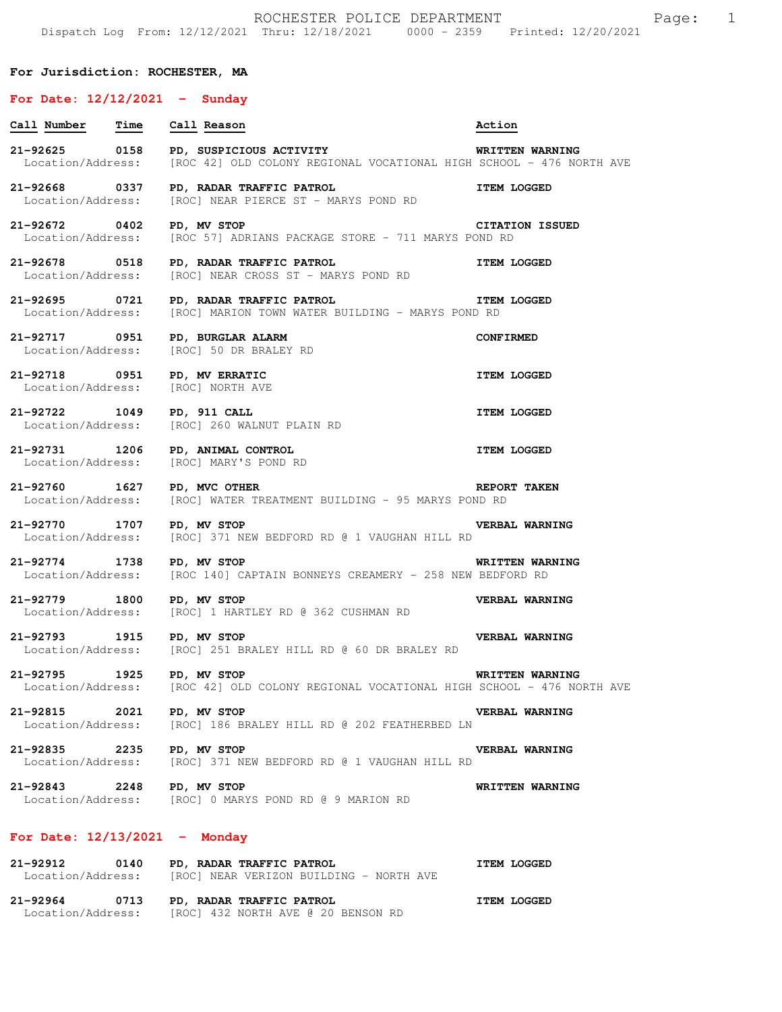# **For Jurisdiction: ROCHESTER, MA**

### **For Date: 12/12/2021 - Sunday**

| Call Number Time                  | Call Reason                                                                                                                                    | Action                 |
|-----------------------------------|------------------------------------------------------------------------------------------------------------------------------------------------|------------------------|
|                                   | 21-92625 0158 PD, SUSPICIOUS ACTIVITY WRITTEN WARNING<br>Location/Address: [ROC 42] OLD COLONY REGIONAL VOCATIONAL HIGH SCHOOL - 476 NORTH AVE |                        |
|                                   | 21-92668 0337 PD, RADAR TRAFFIC PATROL<br>Location/Address: [ROC] NEAR PIERCE ST - MARYS POND RD                                               | <b>ITEM LOGGED</b>     |
| 21-92672 0402 PD, MV STOP         | Location/Address: [ROC 57] ADRIANS PACKAGE STORE - 711 MARYS POND RD                                                                           | <b>CITATION ISSUED</b> |
|                                   | 21-92678 0518 PD, RADAR TRAFFIC PATROL<br>Location/Address: [ROC] NEAR CROSS ST - MARYS POND RD                                                | <b>ITEM LOGGED</b>     |
|                                   | 21-92695 0721 PD, RADAR TRAFFIC PATROL CHARAGED ITEM LOGGED<br>Location/Address: [ROC] MARION TOWN WATER BUILDING - MARYS POND RD              |                        |
|                                   | 21-92717 0951 PD, BURGLAR ALARM<br>Location/Address: [ROC] 50 DR BRALEY RD                                                                     | <b>CONFIRMED</b>       |
| Location/Address: [ROC] NORTH AVE | 21-92718 0951 PD, MV ERRATIC<br>Location/Address: [ROC] NORTH AVE                                                                              | <b>ITEM LOGGED</b>     |
| 21-92722 1049 PD, 911 CALL        | Location/Address: [ROC] 260 WALNUT PLAIN RD                                                                                                    | <b>ITEM LOGGED</b>     |
| 21-92731 1206                     | 1-92731 1206 PD, ANIMAL CONTROL 1TEM LOGGED<br>Location/Address: [ROC] MARY'S POND RD                                                          |                        |
| 21-92760 1627 PD, MVC OTHER       | Location/Address: [ROC] WATER TREATMENT BUILDING - 95 MARYS POND RD                                                                            | <b>REPORT TAKEN</b>    |
| 21-92770 1707 PD, MV STOP         | Location/Address: [ROC] 371 NEW BEDFORD RD @ 1 VAUGHAN HILL RD                                                                                 | VERBAL WARNING         |
| 21-92774 1738 PD, MV STOP         | WRITTEN WARNING<br>Location/Address: [ROC 140] CAPTAIN BONNEYS CREAMERY - 258 NEW BEDFORD RD                                                   |                        |
| 21-92779 1800 PD, MV STOP         | 1-92779        1800      PD, MV STOP<br>Location/Address:     [ROC] 1 HARTLEY RD @ 362 CUSHMAN RD                                              | VERBAL WARNING         |
|                                   | 21-92793 1915 PD, MV STOP<br>Location/Address: [ROC] 251 BRALEY HILL RD @ 60 DR BRALEY RD                                                      | <b>VERBAL WARNING</b>  |
| 21-92795 1925                     | PD, MV STOP<br>Location/Address: [ROC 42] OLD COLONY REGIONAL VOCATIONAL HIGH SCHOOL - 476 NORTH AVE                                           | WRITTEN WARNING        |
| 21-92815<br>2021                  | PD, MV STOP<br>Location/Address: [ROC] 186 BRALEY HILL RD @ 202 FEATHERBED LN                                                                  | VERBAL WARNING         |
| 21-92835 2235                     | PD, MV STOP<br>Location/Address: [ROC] 371 NEW BEDFORD RD @ 1 VAUGHAN HILL RD                                                                  | VERBAL WARNING         |
| 21-92843 2248 PD, MV STOP         | Location/Address: [ROC] 0 MARYS POND RD @ 9 MARION RD                                                                                          | WRITTEN WARNING        |

## **For Date: 12/13/2021 - Monday**

| 21-92912<br>0140<br>Location/Address: | PD, RADAR TRAFFIC PATROL<br>[ROC] NEAR VERIZON BUILDING - NORTH AVE | <b>ITEM LOGGED</b> |
|---------------------------------------|---------------------------------------------------------------------|--------------------|
| 21-92964<br>0713<br>Location/Address: | PD, RADAR TRAFFIC PATROL<br>[ROC] 432 NORTH AVE @ 20 BENSON RD      | <b>ITEM LOGGED</b> |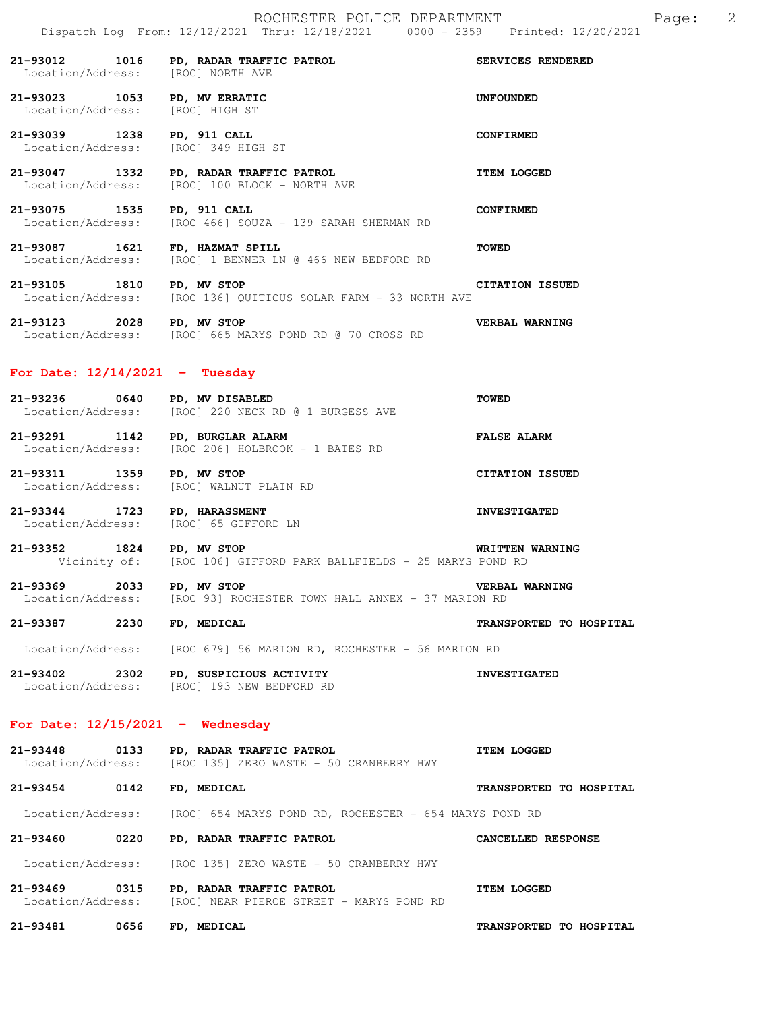| Location/Address: [ROC] NORTH AVE                                     | 21-93012 1016 PD, RADAR TRAFFIC PATROL                                                  | SERVICES RENDERED       |
|-----------------------------------------------------------------------|-----------------------------------------------------------------------------------------|-------------------------|
| 21-93023 1053 PD, MV ERRATIC<br>Location/Address: [ROC] HIGH ST       |                                                                                         | UNFOUNDED               |
| 21-93039 1238 PD, 911 CALL<br>Location/Address: [ROC] 349 HIGH ST     |                                                                                         | <b>CONFIRMED</b>        |
|                                                                       | 21-93047 1332 PD, RADAR TRAFFIC PATROL<br>Location/Address: [ROC] 100 BLOCK - NORTH AVE | <b>ITEM LOGGED</b>      |
| 21-93075 1535 PD, 911 CALL                                            | Location/Address: [ROC 466] SOUZA - 139 SARAH SHERMAN RD                                | <b>CONFIRMED</b>        |
| 21-93087 1621                                                         | FD, HAZMAT SPILL<br>Location/Address: [ROC] 1 BENNER LN @ 466 NEW BEDFORD RD            | <b>TOWED</b>            |
| 21-93105 1810 PD, MV STOP                                             | Location/Address: [ROC 136] QUITICUS SOLAR FARM - 33 NORTH AVE                          | CITATION ISSUED         |
| 21-93123 2028 PD, MV STOP                                             | Location/Address: [ROC] 665 MARYS POND RD @ 70 CROSS RD                                 | VERBAL WARNING          |
| For Date: $12/14/2021$ - Tuesday                                      |                                                                                         |                         |
| 21-93236 0640 PD, MV DISABLED                                         | Location/Address: [ROC] 220 NECK RD @ 1 BURGESS AVE                                     | <b>TOWED</b>            |
| 21-93291 1142 PD, BURGLAR ALARM                                       | Location/Address: [ROC 206] HOLBROOK - 1 BATES RD                                       | <b>FALSE ALARM</b>      |
| 21-93311 1359 PD, MV STOP                                             | Location/Address: [ROC] WALNUT PLAIN RD                                                 | CITATION ISSUED         |
| 21-93344 1723 PD, HARASSMENT<br>Location/Address: [ROC] 65 GIFFORD LN |                                                                                         | <b>INVESTIGATED</b>     |
| 21-93352 1824 PD, MV STOP                                             | Vicinity of: [ROC 106] GIFFORD PARK BALLFIELDS - 25 MARYS POND RD                       | <b>WRITTEN WARNING</b>  |
| 2033 PD, MV STOP<br>21-93369                                          | Location/Address: [ROC 93] ROCHESTER TOWN HALL ANNEX - 37 MARION RD                     | VERBAL WARNING          |
| 2230<br>21-93387                                                      | FD, MEDICAL                                                                             | TRANSPORTED TO HOSPITAL |
|                                                                       | Location/Address: [ROC 679] 56 MARION RD, ROCHESTER - 56 MARION RD                      |                         |
|                                                                       | 21-93402 2302 PD, SUSPICIOUS ACTIVITY<br>Location/Address: [ROC] 193 NEW BEDFORD RD     | <b>INVESTIGATED</b>     |
| For Date: $12/15/2021$ - Wednesday                                    |                                                                                         |                         |
| $21 - 93448$<br>0133                                                  | PD, RADAR TRAFFIC PATROL<br>Location/Address: [ROC 135] ZERO WASTE - 50 CRANBERRY HWY   | <b>ITEM LOGGED</b>      |
| 21-93454 0142                                                         | FD, MEDICAL                                                                             | TRANSPORTED TO HOSPITAL |
| Location/Address:                                                     | [ROC] 654 MARYS POND RD, ROCHESTER - 654 MARYS POND RD                                  |                         |
| 21-93460 0220                                                         | PD, RADAR TRAFFIC PATROL                                                                | CANCELLED RESPONSE      |
| Location/Address:                                                     | [ROC 135] ZERO WASTE - 50 CRANBERRY HWY                                                 |                         |
| 21-93469<br>0315<br>Location/Address:                                 | PD, RADAR TRAFFIC PATROL<br>[ROC] NEAR PIERCE STREET - MARYS POND RD                    | <b>ITEM LOGGED</b>      |
| 21-93481 0656                                                         | FD, MEDICAL                                                                             | TRANSPORTED TO HOSPITAL |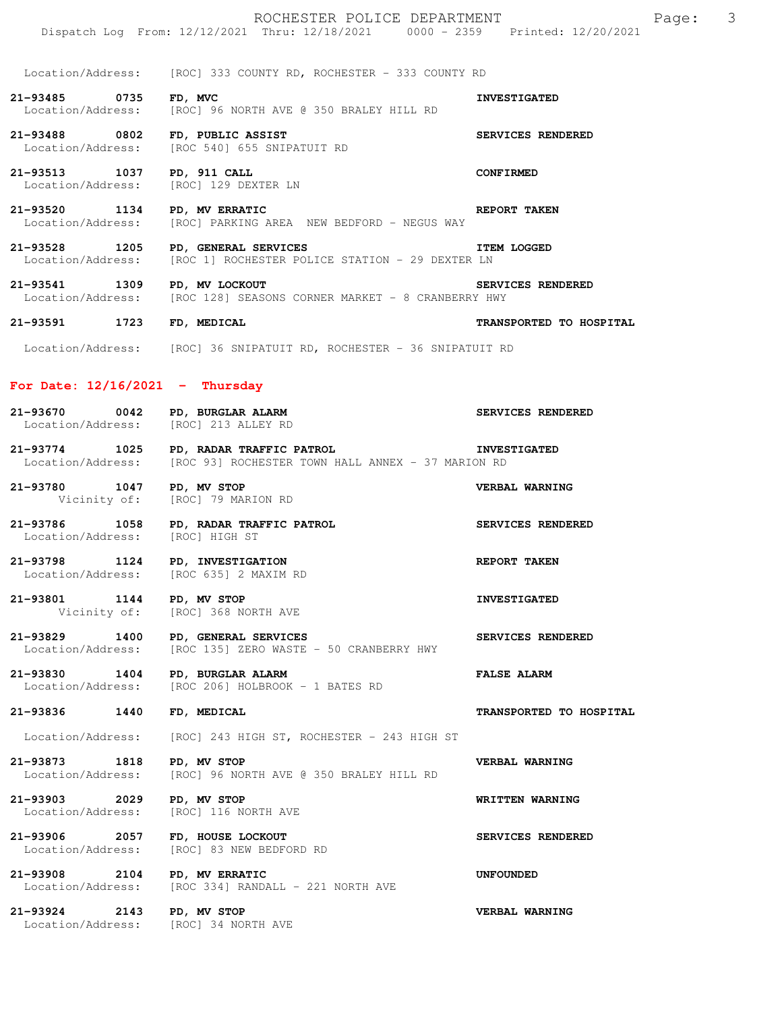|                                    | ROCHESTER POLICE DEPARTMENT<br>Dispatch Log From: 12/12/2021 Thru: 12/18/2021 0000 - 2359 Printed: 12/20/2021              |                         | $\overline{\phantom{a}}$<br>Page: |  |
|------------------------------------|----------------------------------------------------------------------------------------------------------------------------|-------------------------|-----------------------------------|--|
|                                    | Location/Address: [ROC] 333 COUNTY RD, ROCHESTER - 333 COUNTY RD                                                           |                         |                                   |  |
| 21-93485 0735                      | FD, MVC<br>Location/Address: [ROC] 96 NORTH AVE @ 350 BRALEY HILL RD                                                       | <b>INVESTIGATED</b>     |                                   |  |
|                                    | 21-93488 0802 FD, PUBLIC ASSIST<br>Location/Address: [ROC 540] 655 SNIPATUIT RD                                            | SERVICES RENDERED       |                                   |  |
| 21-93513 1037                      | PD, 911 CALL<br>Location/Address: [ROC] 129 DEXTER LN                                                                      | <b>CONFIRMED</b>        |                                   |  |
| Location/Address:                  | REPORT TAKEN<br>21-93520 1134 PD, MV ERRATIC<br>[ROC] PARKING AREA NEW BEDFORD - NEGUS WAY                                 |                         |                                   |  |
| 21-93528 1205<br>Location/Address: | PD, GENERAL SERVICES<br>[ROC 1] ROCHESTER POLICE STATION - 29 DEXTER LN                                                    | <b>ITEM LOGGED</b>      |                                   |  |
|                                    | 21-93541 1309 PD, MV LOCKOUT<br>Location/Address: [ROC 128] SEASONS CORNER MARKET - 8 CRANBERRY HWY                        | SERVICES RENDERED       |                                   |  |
| 21-93591 1723 FD, MEDICAL          |                                                                                                                            | TRANSPORTED TO HOSPITAL |                                   |  |
|                                    | Location/Address: [ROC] 36 SNIPATUIT RD, ROCHESTER - 36 SNIPATUIT RD                                                       |                         |                                   |  |
| For Date: $12/16/2021$ - Thursday  |                                                                                                                            |                         |                                   |  |
|                                    | 21-93670 0042 PD, BURGLAR ALARM<br>Location/Address: [ROC] 213 ALLEY RD                                                    | SERVICES RENDERED       |                                   |  |
|                                    | 21-93774 1025 PD, RADAR TRAFFIC PATROL 1NVESTIGATED<br>Location/Address: [ROC 93] ROCHESTER TOWN HALL ANNEX - 37 MARION RD |                         |                                   |  |
| 21-93780 1047 PD, MV STOP          | Vicinity of: [ROC] 79 MARION RD                                                                                            | VERBAL WARNING          |                                   |  |
| Location/Address: [ROC] HIGH ST    | 21-93786 1058 PD, RADAR TRAFFIC PATROL                                                                                     | SERVICES RENDERED       |                                   |  |
|                                    | 21-93798 1124 PD, INVESTIGATION<br>Location/Address: [ROC 635] 2 MAXIM RD                                                  | REPORT TAKEN            |                                   |  |
| 21-93801 1144 PD, MV STOP          | Vicinity of: [ROC] 368 NORTH AVE                                                                                           | <b>INVESTIGATED</b>     |                                   |  |
| 21-93829 1400<br>Location/Address: | PD, GENERAL SERVICES<br>[ROC 135] ZERO WASTE - 50 CRANBERRY HWY                                                            | SERVICES RENDERED       |                                   |  |
| 21-93830 1404<br>Location/Address: | PD, BURGLAR ALARM<br>[ROC 206] HOLBROOK - 1 BATES RD                                                                       | <b>FALSE ALARM</b>      |                                   |  |
| 21-93836 1440                      | FD, MEDICAL                                                                                                                | TRANSPORTED TO HOSPITAL |                                   |  |
| Location/Address:                  | [ROC] 243 HIGH ST, ROCHESTER – 243 HIGH ST                                                                                 |                         |                                   |  |
| 21-93873 1818<br>Location/Address: | PD, MV STOP<br>[ROC] 96 NORTH AVE @ 350 BRALEY HILL RD                                                                     | VERBAL WARNING          |                                   |  |
| 21-93903 2029<br>Location/Address: | PD, MV STOP<br>[ROC] 116 NORTH AVE                                                                                         | WRITTEN WARNING         |                                   |  |
| 21-93906 2057<br>Location/Address: | FD, HOUSE LOCKOUT<br>[ROC] 83 NEW BEDFORD RD                                                                               | SERVICES RENDERED       |                                   |  |
| Location/Address:                  | 21-93908 2104 PD, MV ERRATIC<br>[ROC 334] RANDALL - 221 NORTH AVE                                                          | UNFOUNDED               |                                   |  |
| 21-93924 2143 PD, MV STOP          | Location/Address: [ROC] 34 NORTH AVE                                                                                       | VERBAL WARNING          |                                   |  |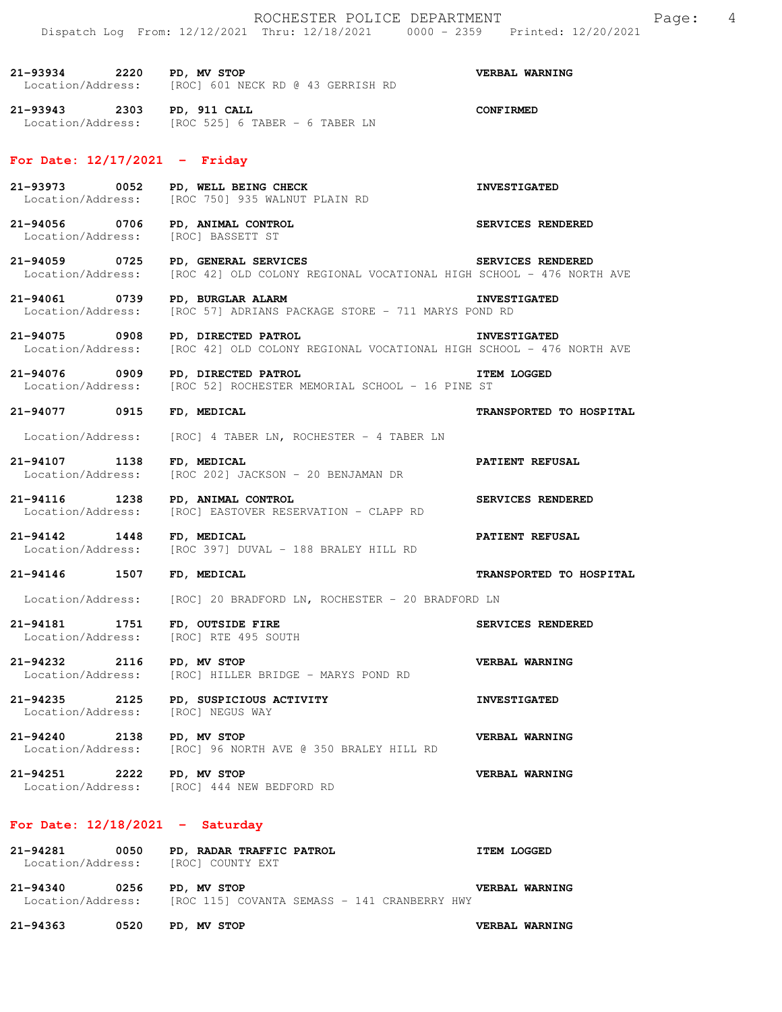**21-93934 2220 PD, MV STOP VERBAL WARNING**  Location/Address: [ROC] 601 NECK RD @ 43 GERRISH RD

**21-93943 2303 PD, 911 CALL CONFIRMED**  Location/Address: [ROC 525] 6 TABER - 6 TABER LN

#### **For Date: 12/17/2021 - Friday**

**21-93973 0052 PD, WELL BEING CHECK INVESTIGATED**  Location/Address: [ROC 750] 935 WALNUT PLAIN RD

**21-94056 0706 PD, ANIMAL CONTROL SERVICES RENDERED**  Location/Address: [ROC] BASSETT ST

**21-94059 0725 PD, GENERAL SERVICES SERVICES RENDERED**  Location/Address: [ROC 42] OLD COLONY REGIONAL VOCATIONAL HIGH SCHOOL - 476 NORTH AVE

**21-94061 0739 PD, BURGLAR ALARM INVESTIGATED**  Location/Address: [ROC 57] ADRIANS PACKAGE STORE - 711 MARYS POND RD

21-94075 0908 PD, DIRECTED PATROL **INVESTIGATED**<br>Location/Address: [ROC 42] OLD COLONY REGIONAL VOCATIONAL HIGH SCHOOL - 476 [ROC 42] OLD COLONY REGIONAL VOCATIONAL HIGH SCHOOL - 476 NORTH AVE

**21-94076 0909 PD, DIRECTED PATROL ITEM LOGGED**  Location/Address: [ROC 52] ROCHESTER MEMORIAL SCHOOL - 16 PINE ST

**21-94077 0915 FD, MEDICAL TRANSPORTED TO HOSPITAL** 

Location/Address: [ROC] 4 TABER LN, ROCHESTER - 4 TABER LN

**21-94107 1138 FD, MEDICAL PATIENT REFUSAL**  Location/Address: [ROC 202] JACKSON - 20 BENJAMAN DR

**21-94116 1238 PD, ANIMAL CONTROL SERVICES RENDERED**  Location/Address: [ROC] EASTOVER RESERVATION - CLAPP RD

**21-94142 1448 FD, MEDICAL PATIENT REFUSAL**  Location/Address: [ROC 397] DUVAL - 188 BRALEY HILL RD

**21-94146 1507 FD, MEDICAL TRANSPORTED TO HOSPITAL** 

Location/Address: [ROC] 20 BRADFORD LN, ROCHESTER - 20 BRADFORD LN

**21-94181 1751 FD, OUTSIDE FIRE SERVICES RENDERED**  Location/Address: [ROC] RTE 495 SOUTH

21-94232 2116 PD, MV STOP<br>Location/Address: [ROC] HILLER BRIDGE - MARYS POND RD<br>**VERBAL WARNING** [ROC] HILLER BRIDGE - MARYS POND RD

**21-94235 2125 PD, SUSPICIOUS ACTIVITY INVESTIGATED**  Location/Address: [ROC] NEGUS WAY

**21-94240 2138 PD, MV STOP VERBAL WARNING**  Location/Address: [ROC] 96 NORTH AVE @ 350 BRALEY HILL RD

**21-94251 2222 PD, MV STOP VERBAL WARNING**  Location/Address: [ROC] 444 NEW BEDFORD RD

#### **For Date: 12/18/2021 - Saturday**

| 21-94281 | 0050 | PD, RADAR TRAFFIC PATROL<br>Location/Address: [ROC] COUNTY EXT                | <b>ITEM LOGGED</b> |                       |  |
|----------|------|-------------------------------------------------------------------------------|--------------------|-----------------------|--|
| 21-94340 | 0256 | PD, MV STOP<br>Location/Address: [ROC 115] COVANTA SEMASS - 141 CRANBERRY HWY |                    | <b>VERBAL WARNING</b> |  |
| 21-94363 | 0520 | PD, MV STOP                                                                   |                    | <b>VERBAL WARNING</b> |  |